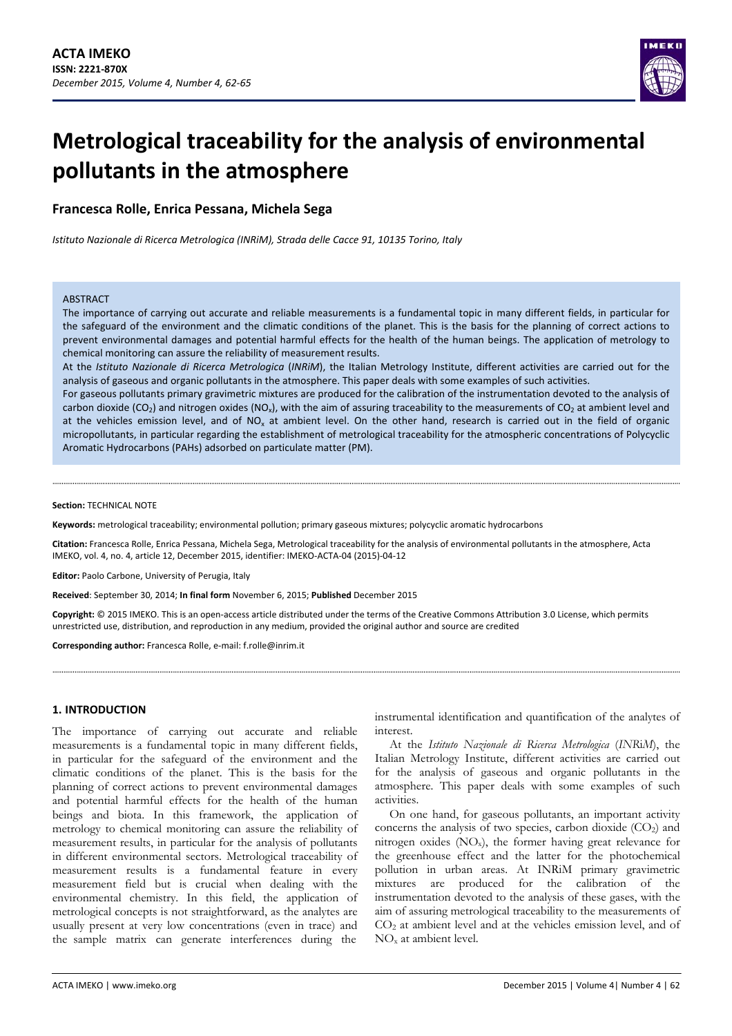

# **Metrological traceability for the analysis of environmental pollutants in the atmosphere**

## **Francesca Rolle, Enrica Pessana, Michela Sega**

*Istituto Nazionale di Ricerca Metrologica (INRiM), Strada delle Cacce 91, 10135 Torino, Italy*

#### **ARSTRACT**

The importance of carrying out accurate and reliable measurements is a fundamental topic in many different fields, in particular for the safeguard of the environment and the climatic conditions of the planet. This is the basis for the planning of correct actions to prevent environmental damages and potential harmful effects for the health of the human beings. The application of metrology to chemical monitoring can assure the reliability of measurement results.

At the *Istituto Nazionale di Ricerca Metrologica* (*INRiM*), the Italian Metrology Institute, different activities are carried out for the analysis of gaseous and organic pollutants in the atmosphere. This paper deals with some examples of such activities.

For gaseous pollutants primary gravimetric mixtures are produced for the calibration of the instrumentation devoted to the analysis of carbon dioxide (CO<sub>2</sub>) and nitrogen oxides (NO<sub>x</sub>), with the aim of assuring traceability to the measurements of CO<sub>2</sub> at ambient level and at the vehicles emission level, and of NO<sub>x</sub> at ambient level. On the other hand, research is carried out in the field of organic micropollutants, in particular regarding the establishment of metrological traceability for the atmospheric concentrations of Polycyclic Aromatic Hydrocarbons (PAHs) adsorbed on particulate matter (PM).

#### **Section:** TECHNICAL NOTE

**Keywords:** metrological traceability; environmental pollution; primary gaseous mixtures; polycyclic aromatic hydrocarbons

**Citation:** Francesca Rolle, Enrica Pessana, Michela Sega, Metrological traceability for the analysis of environmental pollutants in the atmosphere, Acta IMEKO, vol. 4, no. 4, article 12, December 2015, identifier: IMEKO‐ACTA‐04 (2015)‐04‐12

**Editor:** Paolo Carbone, University of Perugia, Italy

**Received**: September 30, 2014; **In final form** November 6, 2015; **Published** December 2015

**Copyright:** © 2015 IMEKO. This is an open‐access article distributed under the terms of the Creative Commons Attribution 3.0 License, which permits unrestricted use, distribution, and reproduction in any medium, provided the original author and source are credited

**Corresponding author:** Francesca Rolle, e‐mail: f.rolle@inrim.it

## **1. INTRODUCTION**

The importance of carrying out accurate and reliable measurements is a fundamental topic in many different fields, in particular for the safeguard of the environment and the climatic conditions of the planet. This is the basis for the planning of correct actions to prevent environmental damages and potential harmful effects for the health of the human beings and biota. In this framework, the application of metrology to chemical monitoring can assure the reliability of measurement results, in particular for the analysis of pollutants in different environmental sectors. Metrological traceability of measurement results is a fundamental feature in every measurement field but is crucial when dealing with the environmental chemistry. In this field, the application of metrological concepts is not straightforward, as the analytes are usually present at very low concentrations (even in trace) and the sample matrix can generate interferences during the

instrumental identification and quantification of the analytes of interest.

At the *Istituto Nazionale di Ricerca Metrologica* (*INR*i*M*), the Italian Metrology Institute, different activities are carried out for the analysis of gaseous and organic pollutants in the atmosphere. This paper deals with some examples of such activities.

On one hand, for gaseous pollutants, an important activity concerns the analysis of two species, carbon dioxide  $(CO<sub>2</sub>)$  and nitrogen oxides  $(NO_x)$ , the former having great relevance for the greenhouse effect and the latter for the photochemical pollution in urban areas. At INRiM primary gravimetric mixtures are produced for the calibration of the instrumentation devoted to the analysis of these gases, with the aim of assuring metrological traceability to the measurements of CO2 at ambient level and at the vehicles emission level, and of NOx at ambient level.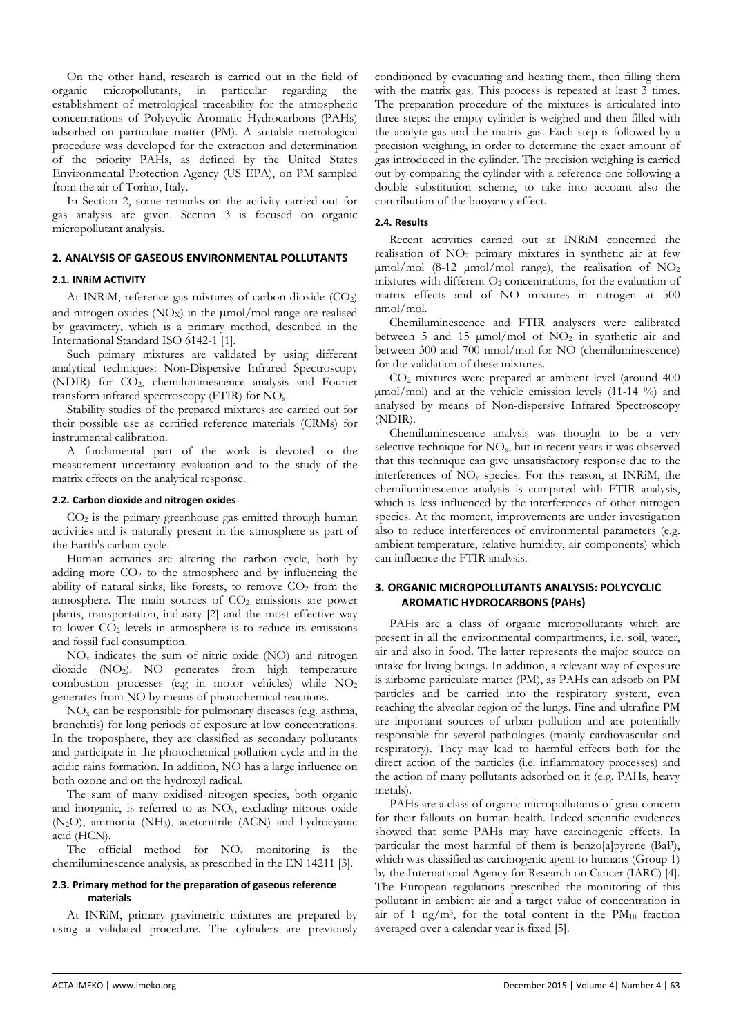On the other hand, research is carried out in the field of organic micropollutants, in particular regarding the establishment of metrological traceability for the atmospheric concentrations of Polycyclic Aromatic Hydrocarbons (PAHs) adsorbed on particulate matter (PM). A suitable metrological procedure was developed for the extraction and determination of the priority PAHs, as defined by the United States Environmental Protection Agency (US EPA), on PM sampled from the air of Torino, Italy.

In Section 2, some remarks on the activity carried out for gas analysis are given. Section 3 is focused on organic micropollutant analysis.

## **2. ANALYSIS OF GASEOUS ENVIRONMENTAL POLLUTANTS**

## **2.1. INRiM ACTIVITY**

At INRiM, reference gas mixtures of carbon dioxide (CO<sub>2</sub>) and nitrogen oxides  $(NO_X)$  in the  $\mu$ mol/mol range are realised by gravimetry, which is a primary method, described in the International Standard ISO 6142-1 [1].

Such primary mixtures are validated by using different analytical techniques: Non-Dispersive Infrared Spectroscopy (NDIR) for CO2, chemiluminescence analysis and Fourier transform infrared spectroscopy (FTIR) for NOx.

Stability studies of the prepared mixtures are carried out for their possible use as certified reference materials (CRMs) for instrumental calibration.

A fundamental part of the work is devoted to the measurement uncertainty evaluation and to the study of the matrix effects on the analytical response.

#### **2.2. Carbon dioxide and nitrogen oxides**

 $CO<sub>2</sub>$  is the primary greenhouse gas emitted through human activities and is naturally present in the atmosphere as part of the Earth's carbon cycle.

Human activities are altering the carbon cycle, both by adding more  $CO<sub>2</sub>$  to the atmosphere and by influencing the ability of natural sinks, like forests, to remove  $CO<sub>2</sub>$  from the atmosphere. The main sources of  $CO<sub>2</sub>$  emissions are power plants, transportation, industry [2] and the most effective way to lower  $CO<sub>2</sub>$  levels in atmosphere is to reduce its emissions and fossil fuel consumption.

 $NO<sub>x</sub>$  indicates the sum of nitric oxide (NO) and nitrogen dioxide (NO2). NO generates from high temperature combustion processes (e.g in motor vehicles) while NO2 generates from NO by means of photochemical reactions.

 $NO<sub>x</sub>$  can be responsible for pulmonary diseases (e.g. asthma, bronchitis) for long periods of exposure at low concentrations. In the troposphere, they are classified as secondary pollutants and participate in the photochemical pollution cycle and in the acidic rains formation. In addition, NO has a large influence on both ozone and on the hydroxyl radical.

The sum of many oxidised nitrogen species, both organic and inorganic, is referred to as  $NO<sub>v</sub>$ , excluding nitrous oxide (N2O), ammonia (NH3), acetonitrile (ACN) and hydrocyanic acid (HCN).

The official method for  $NO<sub>x</sub>$  monitoring is the chemiluminescence analysis, as prescribed in the EN 14211 [3].

### **2.3. Primary method for the preparation of gaseous reference materials**

At INRiM, primary gravimetric mixtures are prepared by using a validated procedure. The cylinders are previously

conditioned by evacuating and heating them, then filling them with the matrix gas. This process is repeated at least 3 times. The preparation procedure of the mixtures is articulated into three steps: the empty cylinder is weighed and then filled with the analyte gas and the matrix gas. Each step is followed by a precision weighing, in order to determine the exact amount of gas introduced in the cylinder. The precision weighing is carried out by comparing the cylinder with a reference one following a double substitution scheme, to take into account also the contribution of the buoyancy effect.

#### **2.4. Results**

Recent activities carried out at INRiM concerned the realisation of NO2 primary mixtures in synthetic air at few  $\mu$ mol/mol (8-12  $\mu$ mol/mol range), the realisation of NO<sub>2</sub> mixtures with different O2 concentrations, for the evaluation of matrix effects and of NO mixtures in nitrogen at 500 nmol/mol.

Chemiluminescence and FTIR analysers were calibrated between 5 and 15  $\mu$ mol/mol of NO<sub>2</sub> in synthetic air and between 300 and 700 nmol/mol for NO (chemiluminescence) for the validation of these mixtures.

CO2 mixtures were prepared at ambient level (around 400 µmol/mol) and at the vehicle emission levels (11-14 %) and analysed by means of Non-dispersive Infrared Spectroscopy (NDIR).

Chemiluminescence analysis was thought to be a very selective technique for NO<sub>x</sub>, but in recent years it was observed that this technique can give unsatisfactory response due to the interferences of NOy species. For this reason, at INRiM, the chemiluminescence analysis is compared with FTIR analysis, which is less influenced by the interferences of other nitrogen species. At the moment, improvements are under investigation also to reduce interferences of environmental parameters (e.g. ambient temperature, relative humidity, air components) which can influence the FTIR analysis.

## **3. ORGANIC MICROPOLLUTANTS ANALYSIS: POLYCYCLIC AROMATIC HYDROCARBONS (PAHs)**

PAHs are a class of organic micropollutants which are present in all the environmental compartments, i.e. soil, water, air and also in food. The latter represents the major source on intake for living beings. In addition, a relevant way of exposure is airborne particulate matter (PM), as PAHs can adsorb on PM particles and be carried into the respiratory system, even reaching the alveolar region of the lungs. Fine and ultrafine PM are important sources of urban pollution and are potentially responsible for several pathologies (mainly cardiovascular and respiratory). They may lead to harmful effects both for the direct action of the particles (i.e. inflammatory processes) and the action of many pollutants adsorbed on it (e.g. PAHs, heavy metals).

PAHs are a class of organic micropollutants of great concern for their fallouts on human health. Indeed scientific evidences showed that some PAHs may have carcinogenic effects. In particular the most harmful of them is benzo[a]pyrene (BaP), which was classified as carcinogenic agent to humans (Group 1) by the International Agency for Research on Cancer (IARC) [4]. The European regulations prescribed the monitoring of this pollutant in ambient air and a target value of concentration in air of 1 ng/m<sup>3</sup>, for the total content in the  $PM_{10}$  fraction averaged over a calendar year is fixed [5].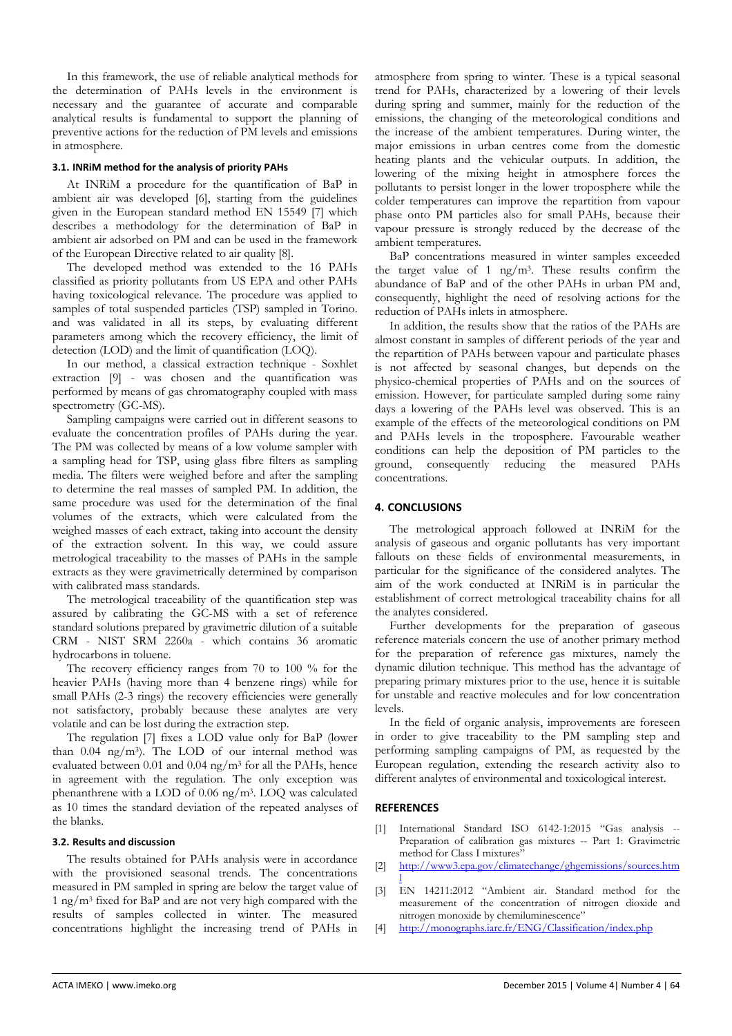In this framework, the use of reliable analytical methods for the determination of PAHs levels in the environment is necessary and the guarantee of accurate and comparable analytical results is fundamental to support the planning of preventive actions for the reduction of PM levels and emissions in atmosphere.

## **3.1. INRiM method for the analysis of priority PAHs**

At INRiM a procedure for the quantification of BaP in ambient air was developed [6], starting from the guidelines given in the European standard method EN 15549 [7] which describes a methodology for the determination of BaP in ambient air adsorbed on PM and can be used in the framework of the European Directive related to air quality [8].

The developed method was extended to the 16 PAHs classified as priority pollutants from US EPA and other PAHs having toxicological relevance. The procedure was applied to samples of total suspended particles (TSP) sampled in Torino. and was validated in all its steps, by evaluating different parameters among which the recovery efficiency, the limit of detection (LOD) and the limit of quantification (LOQ).

In our method, a classical extraction technique - Soxhlet extraction [9] - was chosen and the quantification was performed by means of gas chromatography coupled with mass spectrometry (GC-MS).

Sampling campaigns were carried out in different seasons to evaluate the concentration profiles of PAHs during the year. The PM was collected by means of a low volume sampler with a sampling head for TSP, using glass fibre filters as sampling media. The filters were weighed before and after the sampling to determine the real masses of sampled PM. In addition, the same procedure was used for the determination of the final volumes of the extracts, which were calculated from the weighed masses of each extract, taking into account the density of the extraction solvent. In this way, we could assure metrological traceability to the masses of PAHs in the sample extracts as they were gravimetrically determined by comparison with calibrated mass standards.

The metrological traceability of the quantification step was assured by calibrating the GC-MS with a set of reference standard solutions prepared by gravimetric dilution of a suitable CRM - NIST SRM 2260a - which contains 36 aromatic hydrocarbons in toluene.

The recovery efficiency ranges from 70 to 100 % for the heavier PAHs (having more than 4 benzene rings) while for small PAHs (2-3 rings) the recovery efficiencies were generally not satisfactory, probably because these analytes are very volatile and can be lost during the extraction step.

The regulation [7] fixes a LOD value only for BaP (lower than 0.04 ng/m3). The LOD of our internal method was evaluated between 0.01 and 0.04 ng/m3 for all the PAHs, hence in agreement with the regulation. The only exception was phenanthrene with a LOD of 0.06 ng/m3. LOQ was calculated as 10 times the standard deviation of the repeated analyses of the blanks.

#### **3.2. Results and discussion**

The results obtained for PAHs analysis were in accordance with the provisioned seasonal trends. The concentrations measured in PM sampled in spring are below the target value of 1 ng/m3 fixed for BaP and are not very high compared with the results of samples collected in winter. The measured concentrations highlight the increasing trend of PAHs in

atmosphere from spring to winter. These is a typical seasonal trend for PAHs, characterized by a lowering of their levels during spring and summer, mainly for the reduction of the emissions, the changing of the meteorological conditions and the increase of the ambient temperatures. During winter, the major emissions in urban centres come from the domestic heating plants and the vehicular outputs. In addition, the lowering of the mixing height in atmosphere forces the pollutants to persist longer in the lower troposphere while the colder temperatures can improve the repartition from vapour phase onto PM particles also for small PAHs, because their vapour pressure is strongly reduced by the decrease of the ambient temperatures.

BaP concentrations measured in winter samples exceeded the target value of 1  $\frac{ng}{m^3}$ . These results confirm the abundance of BaP and of the other PAHs in urban PM and, consequently, highlight the need of resolving actions for the reduction of PAHs inlets in atmosphere.

In addition, the results show that the ratios of the PAHs are almost constant in samples of different periods of the year and the repartition of PAHs between vapour and particulate phases is not affected by seasonal changes, but depends on the physico-chemical properties of PAHs and on the sources of emission. However, for particulate sampled during some rainy days a lowering of the PAHs level was observed. This is an example of the effects of the meteorological conditions on PM and PAHs levels in the troposphere. Favourable weather conditions can help the deposition of PM particles to the ground, consequently reducing the measured PAHs concentrations.

## **4. CONCLUSIONS**

The metrological approach followed at INRiM for the analysis of gaseous and organic pollutants has very important fallouts on these fields of environmental measurements, in particular for the significance of the considered analytes. The aim of the work conducted at INRiM is in particular the establishment of correct metrological traceability chains for all the analytes considered.

Further developments for the preparation of gaseous reference materials concern the use of another primary method for the preparation of reference gas mixtures, namely the dynamic dilution technique. This method has the advantage of preparing primary mixtures prior to the use, hence it is suitable for unstable and reactive molecules and for low concentration levels.

In the field of organic analysis, improvements are foreseen in order to give traceability to the PM sampling step and performing sampling campaigns of PM, as requested by the European regulation, extending the research activity also to different analytes of environmental and toxicological interest.

## **REFERENCES**

- [1] International Standard ISO 6142-1:2015 "Gas analysis -- Preparation of calibration gas mixtures -- Part 1: Gravimetric method for Class I mixtures"
- [2] http://www3.epa.gov/climatechange/ghgemissions/sources.htm
- l [3] EN 14211:2012 "Ambient air. Standard method for the measurement of the concentration of nitrogen dioxide and nitrogen monoxide by chemiluminescence"
- [4] http://monographs.iarc.fr/ENG/Classification/index.php